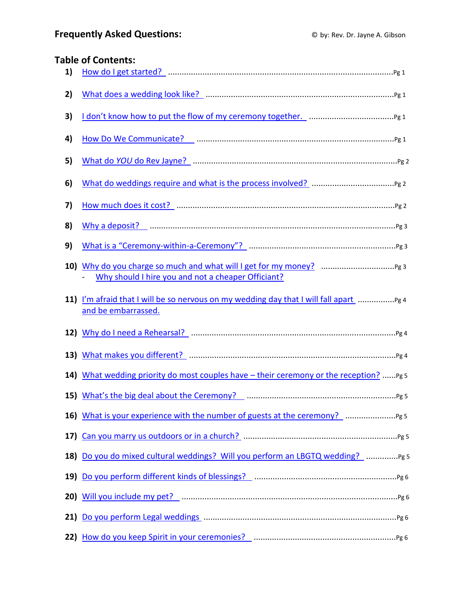# <span id="page-0-0"></span>**Table of Contents:**

| 1)  |                                                                                                      |
|-----|------------------------------------------------------------------------------------------------------|
| 2)  |                                                                                                      |
| 3)  |                                                                                                      |
| 4)  |                                                                                                      |
| 5)  |                                                                                                      |
| 6)  |                                                                                                      |
| 7)  |                                                                                                      |
| 8)  |                                                                                                      |
| 9)  |                                                                                                      |
|     | Why should I hire you and not a cheaper Officiant?                                                   |
| 11) | I'm afraid that I will be so nervous on my wedding day that I will fall apart<br>and be embarrassed. |
|     |                                                                                                      |
|     |                                                                                                      |
| 14) | What wedding priority do most couples have - their ceremony or the reception? Pg 5                   |
|     |                                                                                                      |
|     |                                                                                                      |
|     |                                                                                                      |
|     | 18) Do you do mixed cultural weddings? Will you perform an LBGTQ wedding?  Pg 5                      |
|     |                                                                                                      |
|     |                                                                                                      |
|     |                                                                                                      |
|     |                                                                                                      |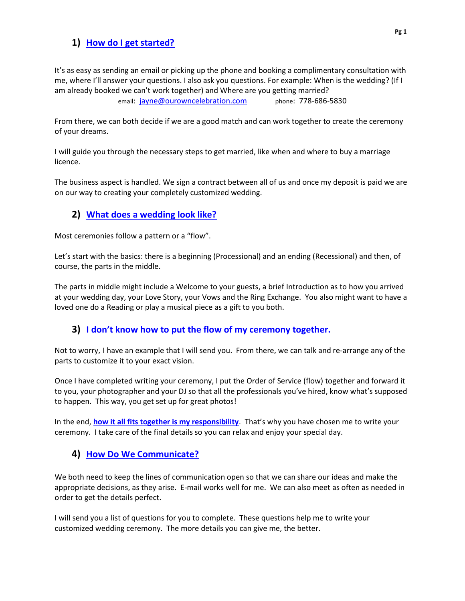# <span id="page-1-0"></span>**1) [How do I get started?](#page-0-0)**

It's as easy as sending an email or picking up the phone and booking a complimentary consultation with me, where I'll answer your questions. I also ask you questions. For example: When is the wedding? (If I am already booked we can't work together) and Where are you getting married? email: [jayne@ourowncelebration.com](mailto:jayne@ourowncelebration.com) phone: 778-686-5830

From there, we can both decide if we are a good match and can work together to create the ceremony of your dreams.

I will guide you through the necessary steps to get married, like when and where to buy a marriage licence.

The business aspect is handled. We sign a contract between all of us and once my deposit is paid we are on our way to creating your completely customized wedding.

# <span id="page-1-1"></span>**2) [What does a wedding look like?](#page-0-0)**

Most ceremonies follow a pattern or a "flow".

Let's start with the basics: there is a beginning (Processional) and an ending (Recessional) and then, of course, the parts in the middle.

The parts in middle might include a Welcome to your guests, a brief Introduction as to how you arrived at your wedding day, your Love Story, your Vows and the Ring Exchange. You also might want to have a loved one do a Reading or play a musical piece as a gift to you both.

## <span id="page-1-2"></span>**3) [I don't know how to put the flow of my ceremony together.](#page-0-0)**

Not to worry, I have an example that I will send you. From there, we can talk and re-arrange any of the parts to customize it to your exact vision.

Once I have completed writing your ceremony, I put the Order of Service (flow) together and forward it to you, your photographer and your DJ so that all the professionals you've hired, know what's supposed to happen. This way, you get set up for great photos!

In the end, **[how it all fits together is my responsibility](http://www.ourowncelebration.com/case-study-grandmas-coming-to-visit-lets-get-married/)**. That's why you have chosen me to write your ceremony. I take care of the final details so you can relax and enjoy your special day.

## <span id="page-1-3"></span>**4) [How Do We Communicate?](#page-0-0)**

We both need to keep the lines of communication open so that we can share our ideas and make the appropriate decisions, as they arise. E-mail works well for me. We can also meet as often as needed in order to get the details perfect.

I will send you a list of questions for you to complete. These questions help me to write your customized wedding ceremony. The more details you can give me, the better.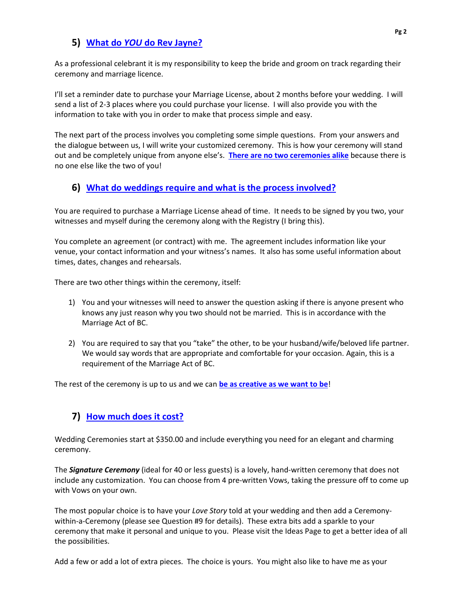## <span id="page-2-0"></span>**5) What do** *YOU* **do [Rev Jayne?](#page-0-0)**

As a professional celebrant it is my responsibility to keep the bride and groom on track regarding their ceremony and marriage licence.

I'll set a reminder date to purchase your Marriage License, about 2 months before your wedding. I will send a list of 2-3 places where you could purchase your license. I will also provide you with the information to take with you in order to make that process simple and easy.

The next part of the process involves you completing some simple questions. From your answers and the dialogue between us, I will write your customized ceremony. This is how your ceremony will stand out and be completely unique from anyone else's. **[There are no two ceremonies alike](http://www.ourowncelebration.com/case-study-grandmas-coming-to-visit-lets-get-married/)** because there is no one else like the two of you!

#### <span id="page-2-1"></span>**6) What do weddings require [and what is the process involved?](#page-0-0)**

You are required to purchase a Marriage License ahead of time. It needs to be signed by you two, your witnesses and myself during the ceremony along with the Registry (I bring this).

You complete an agreement (or contract) with me. The agreement includes information like your venue, your contact information and your witness's names. It also has some useful information about times, dates, changes and rehearsals.

There are two other things within the ceremony, itself:

- 1) You and your witnesses will need to answer the question asking if there is anyone present who knows any just reason why you two should not be married. This is in accordance with the Marriage Act of BC.
- 2) You are required to say that you "take" the other, to be your husband/wife/beloved life partner. We would say words that are appropriate and comfortable for your occasion. Again, this is a requirement of the Marriage Act of BC.

The rest of the ceremony is up to us and we can **be as [creative as we want to be](http://www.ourowncelebration.com/case-study-possible-dream-wedding/)**!

## **7) [How much does it cost?](#page-0-0)**

Wedding Ceremonies start at \$350.00 and include everything you need for an elegant and charming ceremony.

The *Signature Ceremony* (ideal for 40 or less guests) is a lovely, hand-written ceremony that does not include any customization. You can choose from 4 pre-written Vows, taking the pressure off to come up with Vows on your own.

The most popular choice is to have your *Love Story* told at your wedding and then add a Ceremonywithin-a-Ceremony (please see Question #9 for details). These extra bits add a sparkle to your ceremony that make it personal and unique to you. Please visit the Ideas Page to get a better idea of all the possibilities.

Add a few or add a lot of extra pieces. The choice is yours. You might also like to have me as your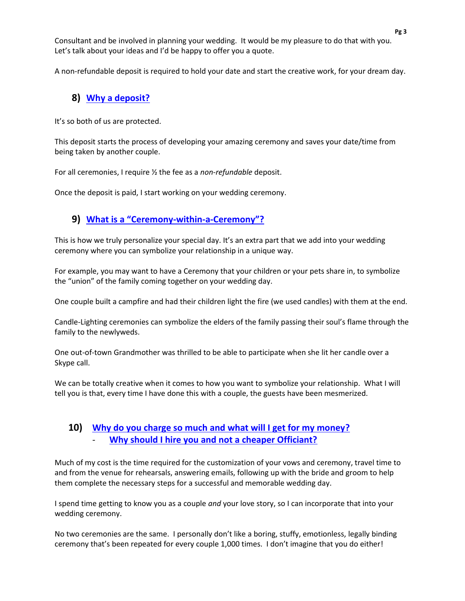Consultant and be involved in planning your wedding. It would be my pleasure to do that with you. Let's talk about your ideas and I'd be happy to offer you a quote.

A non-refundable deposit is required to hold your date and start the creative work, for your dream day.

# <span id="page-3-0"></span>**8) [Why a deposit?](#page-0-0)**

It's so both of us are protected.

This deposit starts the process of developing your amazing ceremony and saves your date/time from being taken by another couple.

For all ceremonies, I require ½ the fee as a *non-refundable* deposit.

Once the deposit is paid, I start working on your wedding ceremony.

#### <span id="page-3-1"></span>**9) What is a "[Ceremony-within-a-Ceremony](#page-0-0)"?**

This is how we truly personalize your special day. It's an extra part that we add into your wedding ceremony where you can symbolize your relationship in a unique way.

For example, you may want to have a Ceremony that your children or your pets share in, to symbolize the "union" of the family coming together on your wedding day.

One couple built a campfire and had their children light the fire (we used candles) with them at the end.

Candle-Lighting ceremonies can symbolize the elders of the family passing their soul's flame through the family to the newlyweds.

One out-of-town Grandmother was thrilled to be able to participate when she lit her candle over a Skype call.

We can be totally creative when it comes to how you want to symbolize your relationship. What I will tell you is that, every time I have done this with a couple, the guests have been mesmerized.

#### <span id="page-3-2"></span>**10) Why do you charge so much [and what will I get for my money?](#page-0-0)** - **[Why should I hire you and not a cheaper Officiant?](#page-0-0)**

Much of my cost is the time required for the customization of your vows and ceremony, travel time to and from the venue for rehearsals, answering emails, following up with the bride and groom to help them complete the necessary steps for a successful and memorable wedding day.

I spend time getting to know you as a couple *and* your love story, so I can incorporate that into your wedding ceremony.

No two ceremonies are the same. I personally don't like a boring, stuffy, emotionless, legally binding ceremony that's been repeated for every couple 1,000 times. I don't imagine that you do either!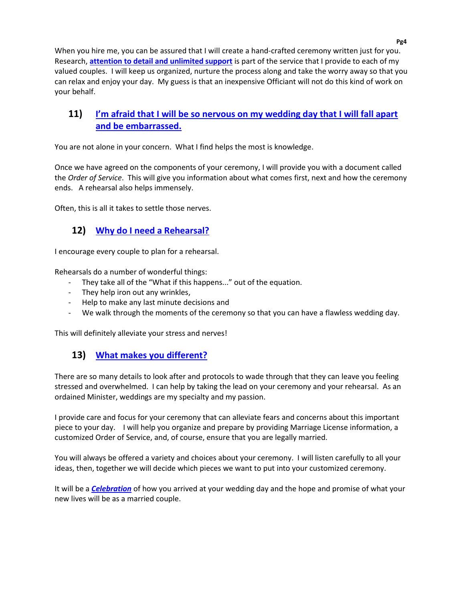When you hire me, you can be assured that I will create a hand-crafted ceremony written just for you. Research, **[attention to detail and unlimited support](http://www.ourowncelebration.com/case-study-possible-dream-wedding/)** is part of the service that I provide to each of my valued couples. I will keep us organized, nurture the process along and take the worry away so that you can relax and enjoy your day. My guess is that an inexpensive Officiant will not do this kind of work on your behalf.

## <span id="page-4-0"></span>**11) I'm afraid th[at I will be so nervous on my wedding day that I will fall apart](#page-0-0)  [and be embarrassed.](#page-0-0)**

You are not alone in your concern. What I find helps the most is knowledge.

Once we have agreed on the components of your ceremony, I will provide you with a document called the *Order of Service*. This will give you information about what comes first, next and how the ceremony ends. A rehearsal also helps immensely.

<span id="page-4-1"></span>Often, this is all it takes to settle those nerves.

# **12) [Why do I need a Rehearsal?](#page-0-0)**

I encourage every couple to plan for a rehearsal.

Rehearsals do a number of wonderful things:

- They take all of the "What if this happens..." out of the equation.
- They help iron out any wrinkles,
- Help to make any last minute decisions and
- We walk through the moments of the ceremony so that you can have a flawless wedding day.

This will definitely alleviate your stress and nerves!

## <span id="page-4-2"></span>**13) [What makes you](#page-0-0) different?**

There are so many details to look after and protocols to wade through that they can leave you feeling stressed and overwhelmed. I can help by taking the lead on your ceremony and your rehearsal. As an ordained Minister, weddings are my specialty and my passion.

I provide care and focus for your ceremony that can alleviate fears and concerns about this important piece to your day. I will help you organize and prepare by providing Marriage License information, a customized Order of Service, and, of course, ensure that you are legally married.

You will always be offered a variety and choices about your ceremony. I will listen carefully to all your ideas, then, together we will decide which pieces we want to put into your customized ceremony.

It will be a *[Celebration](http://www.ourowncelebration.com/not-your-average-celebrant-this-is-what-professionals-do/)* of how you arrived at your wedding day and the hope and promise of what your new lives will be as a married couple.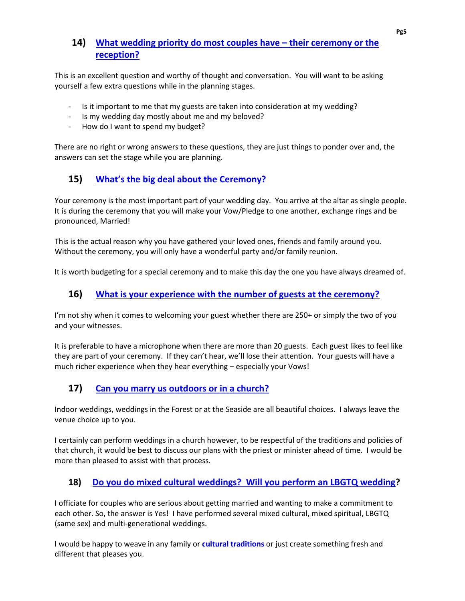# <span id="page-5-0"></span>**14) [What wedding priority do most couples have](#page-0-0) – their ceremony or the [reception?](#page-0-0)**

This is an excellent question and worthy of thought and conversation. You will want to be asking yourself a few extra questions while in the planning stages.

- Is it important to me that my guests are taken into consideration at my wedding?
- Is my wedding day mostly about me and my beloved?
- How do I want to spend my budget?

There are no right or wrong answers to these questions, they are just things to ponder over and, the answers can set the stage while you are planning.

# <span id="page-5-1"></span>**15) [What's the big deal about the](#page-0-0) Ceremony?**

Your ceremony is the most important part of your wedding day. You arrive at the altar as single people. It is during the ceremony that you will make your Vow/Pledge to one another, exchange rings and be pronounced, Married!

This is the actual reason why you have gathered your loved ones, friends and family around you. Without the ceremony, you will only have a wonderful party and/or family reunion.

It is worth budgeting for a special ceremony and to make this day the one you have always dreamed of.

## <span id="page-5-2"></span>**16) [What is your experience with the number of guests at the ceremony?](#page-0-0)**

I'm not shy when it comes to welcoming your guest whether there are 250+ or simply the two of you and your witnesses.

It is preferable to have a microphone when there are more than 20 guests. Each guest likes to feel like they are part of your ceremony. If they can't hear, we'll lose their attention. Your guests will have a much richer experience when they hear everything – especially your Vows!

# <span id="page-5-3"></span>**17) [Can you marry us](#page-0-0) outdoors or in a church?**

Indoor weddings, weddings in the Forest or at the Seaside are all beautiful choices. I always leave the venue choice up to you.

I certainly can perform weddings in a church however, to be respectful of the traditions and policies of that church, it would be best to discuss our plans with the priest or minister ahead of time. I would be more than pleased to assist with that process.

## <span id="page-5-4"></span>**18) [Do you do mixed cultural weddings? Will you perform an LBGTQ wedding?](#page-0-0)**

I officiate for couples who are serious about getting married and wanting to make a commitment to each other. So, the answer is Yes! I have performed several mixed cultural, mixed spiritual, LBGTQ (same sex) and multi-generational weddings.

I would be happy to weave in any family or **[cultural traditions](http://www.ourowncelebration.com/ideas-page/)** or just create something fresh and different that pleases you.